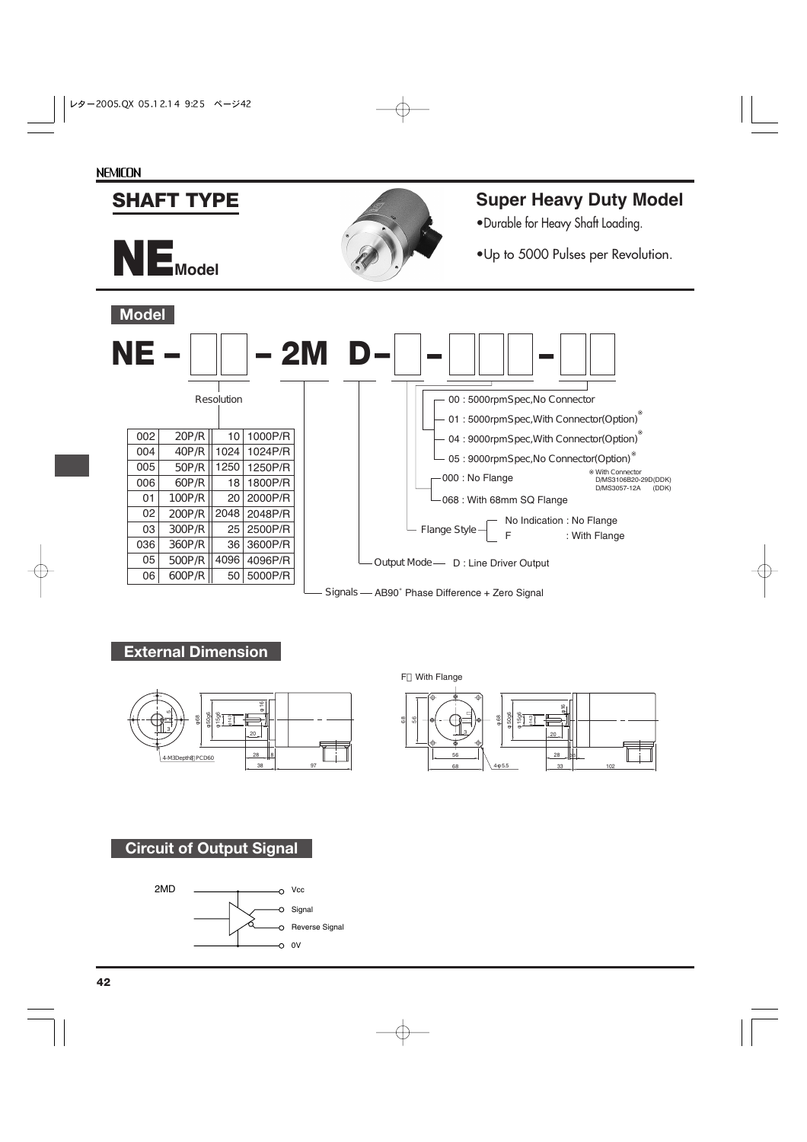#### **NE – – 2M D** Resolution Output Mode — D : Line Driver Output Signals - AB90° Phase Difference + Zero Signal - Flange Style -No Indication : No Flange : With Flange 002 004 005 006 01 02 03 036 05 06 10 1024 1250 18 20 2048 25 36 4096 50 20P/R 40P/R 50P/R 60P/R 100P/R 200P/R 300P/R 360P/R 500P/R 600P/R 1000P/R 1024P/R 1250P/R 1800P/R 2000P/R 2048P/R 2500P/R 3600P/R 4096P/R 5000P/R **– – –** 00 : 5000rpmSpec,No Connector 01:5000rpmSpec, With Connector(Option) 04 : 9000rpmSpec, With Connector(Option) 05 : 9000rpmSpec, No Connector (Option) 000 : No Flange 068 : With 68mm SQ Flange With Connector<br>D.**MS3106B20-29D(DDK)**<br>D.**MS3057-12A (DDK) Model SHAFT TYPE NEModel Super Heavy Duty Model** •Durable for Heavy Shaft Loading. •Up to 5000 Pulses per Revolution.

## **External Dimension**



#### F With Flange



## **Circuit of Output Signal**